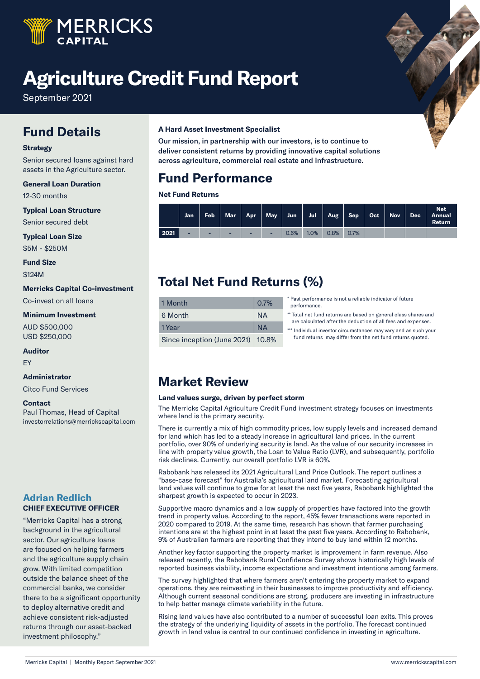

# **Agriculture Credit Fund Report**

September 2021

### **Fund Details**

#### **Strategy**

Senior secured loans against hard assets in the Agriculture sector.

#### **General Loan Duration** 12-30 months

**Typical Loan Structure**

Senior secured debt

**Typical Loan Size**

\$5M - \$250M

**Fund Size** \$124M

#### **Merricks Capital Co-investment**

Co-invest on all loans

#### **Minimum Investment**

AUD \$500,000 USD \$250,000

#### **Auditor**

EY

#### **Administrator**

Citco Fund Services

#### **Contact**

Paul Thomas, Head of Capital investorrelations@merrickscapital.com

#### **Adrian Redlich CHIEF EXECUTIVE OFFICER**

"Merricks Capital has a strong background in the agricultural sector. Our agriculture loans are focused on helping farmers and the agriculture supply chain grow. With limited competition outside the balance sheet of the commercial banks, we consider there to be a significant opportunity to deploy alternative credit and achieve consistent risk-adjusted returns through our asset-backed investment philosophy."

#### **A Hard Asset Investment Specialist**

Our mission, in partnership with our investors, is to continue to deliver consistent returns by providing innovative capital solutions across agriculture, commercial real estate and infrastructure.

### **Fund Performance**

#### **Net Fund Returns**

|      | Jan   / |   |   |   |      |         |         |      |  | <b>Net</b><br>「Feb │ Mar │ Apr │ May │ Jun │ Jul │ Aug │ Sep │ Oct │ Nov │ Dec │ Annual<br>Return |
|------|---------|---|---|---|------|---------|---------|------|--|---------------------------------------------------------------------------------------------------|
| 2021 |         | - | - | ۰ | 0.6% | $1.0\%$ | $0.8\%$ | 0.7% |  |                                                                                                   |

### **Total Net Fund Returns (%)**

| 1 Month                           | 0.7% |
|-----------------------------------|------|
| 6 Month                           | ΝA   |
| 1 Year                            | ΝA   |
| Since inception (June 2021) 10.8% |      |

\* Past performance is not a reliable indicator of future performance.

\*\* Total net fund returns are based on general class shares and are calculated after the deduction of all fees and expenses.

\*\*\* Individual investor circumstances may vary and as such your fund returns may differ from the net fund returns quoted.

### **Market Review**

#### **Land values surge, driven by perfect storm**

The Merricks Capital Agriculture Credit Fund investment strategy focuses on investments where land is the primary security.

There is currently a mix of high commodity prices, low supply levels and increased demand for land which has led to a steady increase in agricultural land prices. In the current portfolio, over 90% of underlying security is land. As the value of our security increases in line with property value growth, the Loan to Value Ratio (LVR), and subsequently, portfolio risk declines. Currently, our overall portfolio LVR is 60%.

Rabobank has released its 2021 Agricultural Land Price Outlook. The report outlines a "base-case forecast" for Australia's agricultural land market. Forecasting agricultural land values will continue to grow for at least the next five years, Rabobank highlighted the sharpest growth is expected to occur in 2023.

Supportive macro dynamics and a low supply of properties have factored into the growth trend in property value. According to the report, 45% fewer transactions were reported in 2020 compared to 2019. At the same time, research has shown that farmer purchasing intentions are at the highest point in at least the past five years. According to Rabobank, 9% of Australian farmers are reporting that they intend to buy land within 12 months.

Another key factor supporting the property market is improvement in farm revenue. Also released recently, the Rabobank Rural Confidence Survey shows historically high levels of reported business viability, income expectations and investment intentions among farmers.

The survey highlighted that where farmers aren't entering the property market to expand operations, they are reinvesting in their businesses to improve productivity and efficiency. Although current seasonal conditions are strong, producers are investing in infrastructure to help better manage climate variability in the future.

Rising land values have also contributed to a number of successful loan exits. This proves the strategy of the underlying liquidity of assets in the portfolio. The forecast continued growth in land value is central to our continued confidence in investing in agriculture.